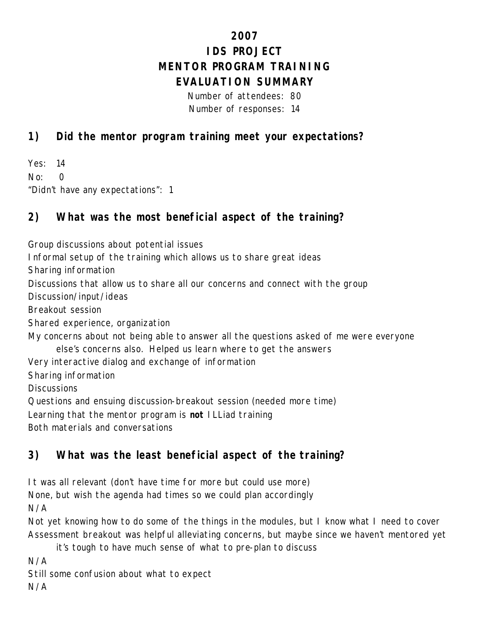# **2007 IDS PROJECT MENTOR PROGRAM TRAINING EVALUATION SUMMARY**

Number of attendees: 80 Number of responses: 14

### **1) Did the mentor program training meet your expectations?**

Yes: 14 No: 0 "Didn't have any expectations": 1

# **2) What was the most beneficial aspect of the training?**

Group discussions about potential issues

Informal setup of the training which allows us to share great ideas

Sharing information

Discussions that allow us to share all our concerns and connect with the group

Discussion/input/ideas

Breakout session

Shared experience, organization

My concerns about not being able to answer all the questions asked of me were everyone else's concerns also. Helped us learn where to get the answers

Very interactive dialog and exchange of information

Sharing information

**Discussions** 

Questions and ensuing discussion-breakout session (needed more time)

Learning that the mentor program is *not* ILLiad training

Both materials and conversations

# **3) What was the least beneficial aspect of the training?**

It was all relevant (don't have time for more but could use more)

None, but wish the agenda had times so we could plan accordingly

N/A

Not yet knowing how to do some of the things in the modules, but I know what I need to cover Assessment breakout was helpful alleviating concerns, but maybe since we haven't mentored yet

it's tough to have much sense of what to pre-plan to discuss

N/A

Still some confusion about what to expect

N/A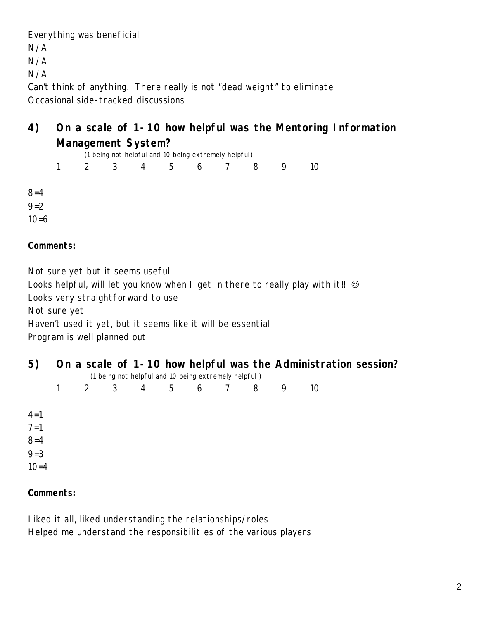Everything was beneficial

N/A

N/A

N/A

Can't think of anything. There really is not "dead weight" to eliminate Occasional side-tracked discussions

## **4) On a scale of 1-10 how helpful was the Mentoring Information Management System?**

|                    |              |             |                |   | (1 being not helpful and 10 being extremely helpful) |     |   |   |    |
|--------------------|--------------|-------------|----------------|---|------------------------------------------------------|-----|---|---|----|
|                    | $\mathbf{1}$ | $2^{\circ}$ | $\overline{3}$ | 4 | 5 <sub>5</sub>                                       | 6 7 | 8 | 9 | 10 |
| $8 = 4$<br>$9 = 2$ |              |             |                |   |                                                      |     |   |   |    |
| $10=6$             |              |             |                |   |                                                      |     |   |   |    |

### **Comments:**

Not sure yet but it seems useful

Looks helpful, will let you know when I get in there to really play with it!!  $\odot$ 

Looks very straightforward to use

Not sure yet

Haven't used it yet, but it seems like it will be essential

Program is well planned out

| 5)       |  |  | (1 being not helpful and 10 being extremely helpful) |  | On a scale of 1-10 how helpful was the Administration session? |
|----------|--|--|------------------------------------------------------|--|----------------------------------------------------------------|
|          |  |  | 2 3 4 5 6 7 8                                        |  | 10                                                             |
| $4 = 1$  |  |  |                                                      |  |                                                                |
| $7 = 1$  |  |  |                                                      |  |                                                                |
| $8 = 4$  |  |  |                                                      |  |                                                                |
| $9 = 3$  |  |  |                                                      |  |                                                                |
| $10 = 4$ |  |  |                                                      |  |                                                                |

### **Comments:**

Liked it all, liked understanding the relationships/roles Helped me understand the responsibilities of the various players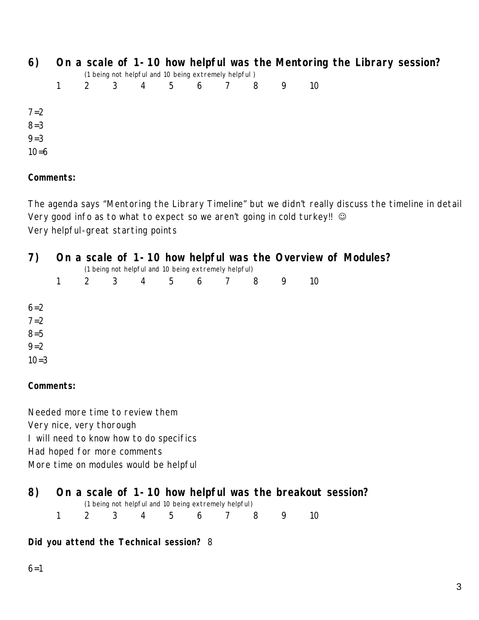| 6)      |  |  |                                                      |  |    |  | On a scale of 1-10 how helpful was the Mentoring the Library session? |  |
|---------|--|--|------------------------------------------------------|--|----|--|-----------------------------------------------------------------------|--|
|         |  |  | (1 being not helpful and 10 being extremely helpful) |  |    |  |                                                                       |  |
|         |  |  | 2 3 4 5 6 7 8                                        |  | 10 |  |                                                                       |  |
|         |  |  |                                                      |  |    |  |                                                                       |  |
| $7 = 2$ |  |  |                                                      |  |    |  |                                                                       |  |
| $8 = 3$ |  |  |                                                      |  |    |  |                                                                       |  |
| $9 = 3$ |  |  |                                                      |  |    |  |                                                                       |  |
| $10=6$  |  |  |                                                      |  |    |  |                                                                       |  |
|         |  |  |                                                      |  |    |  |                                                                       |  |

#### **Comments:**

The agenda says "Mentoring the Library Timeline" but we didn't really discuss the timeline in detail Very good info as to what to expect so we aren't going in cold turkey!! © Very helpful-great starting points

| 7)       |  |  | (1 being not helpful and 10 being extremely helpful) |  |    | On a scale of 1-10 how helpful was the Overview of Modules? |  |
|----------|--|--|------------------------------------------------------|--|----|-------------------------------------------------------------|--|
|          |  |  | 2 3 4 5 6 7 8 9                                      |  | 10 |                                                             |  |
| $6 = 2$  |  |  |                                                      |  |    |                                                             |  |
| $7 = 2$  |  |  |                                                      |  |    |                                                             |  |
| $8 = 5$  |  |  |                                                      |  |    |                                                             |  |
| $9 = 2$  |  |  |                                                      |  |    |                                                             |  |
| $10 = 3$ |  |  |                                                      |  |    |                                                             |  |

#### **Comments:**

Needed more time to review them Very nice, very thorough I will need to know how to do specifics Had hoped for more comments More time on modules would be helpful

# **8) On a scale of 1-10 how helpful was the breakout session?**

(1 being not helpful and 10 being extremely helpful)

1 2 3 4 5 6 7 8 9 10

#### **Did you attend the Technical session?** 8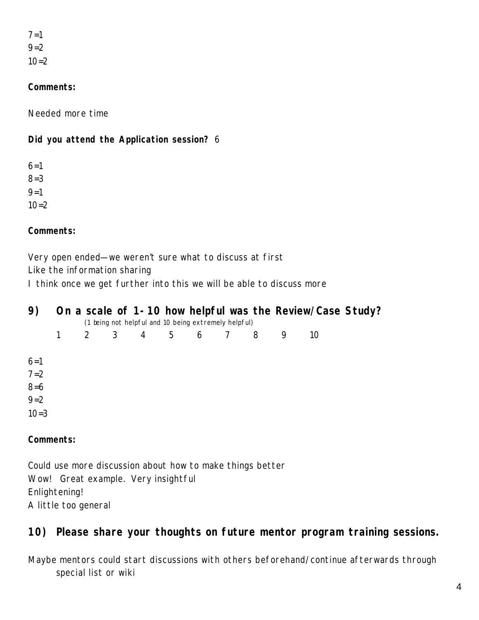$7 = 1$  $9=2$  $10=2$ 

#### **Comments:**

Needed more time

### **Did you attend the Application session?** 6

 $6=1$ 8=3  $9 = 1$  $10=2$ 

**Comments:**

Very open ended—we weren't sure what to discuss at first

Like the information sharing

I think once we get further into this we will be able to discuss more

| 9)        |   |             |                |  | (1 being not helpful and 10 being extremely helpful) |   | On a scale of 1-10 how helpful was the Review/Case Study? |  |
|-----------|---|-------------|----------------|--|------------------------------------------------------|---|-----------------------------------------------------------|--|
|           | 1 | $2^{\circ}$ | $\overline{3}$ |  | 4 5 6 7 8                                            | 9 | 10                                                        |  |
| $6 = 1$   |   |             |                |  |                                                      |   |                                                           |  |
| $7 = 2$   |   |             |                |  |                                                      |   |                                                           |  |
| $8 = 6$   |   |             |                |  |                                                      |   |                                                           |  |
| $9 = 2$   |   |             |                |  |                                                      |   |                                                           |  |
| $10=3$    |   |             |                |  |                                                      |   |                                                           |  |
| Comments: |   |             |                |  |                                                      |   |                                                           |  |

Could use more discussion about how to make things better Wow! Great example. Very insightful Enlightening! A little too general

# **10) Please share your thoughts on future mentor program training sessions.**

Maybe mentors could start discussions with others beforehand/continue afterwards through special list or wiki